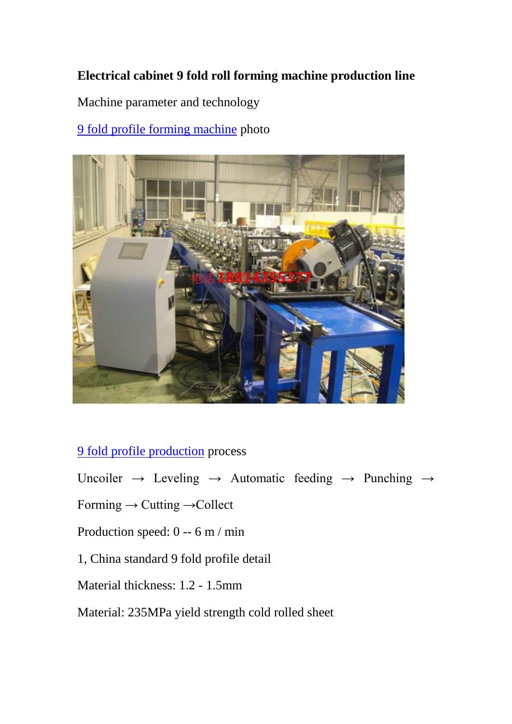## **Electrical cabinet 9 fold roll forming machine production line**

Machine parameter and technology

## [9 fold profile forming machine](http://www.superdamachine.com/index.html) photo



## [9 fold profile](https://rollformerchina.blogspot.com/2019/11/how-to-making-9-fold-cabinet-frame.html) production process

Uncoiler  $\rightarrow$  Leveling  $\rightarrow$  Automatic feeding  $\rightarrow$  Punching  $\rightarrow$ 

Forming → Cutting →Collect

Production speed: 0 -- 6 m / min

## 1, China standard 9 fold profile detail

Material thickness: 1.2 - 1.5mm

Material: 235MPa yield strength cold rolled sheet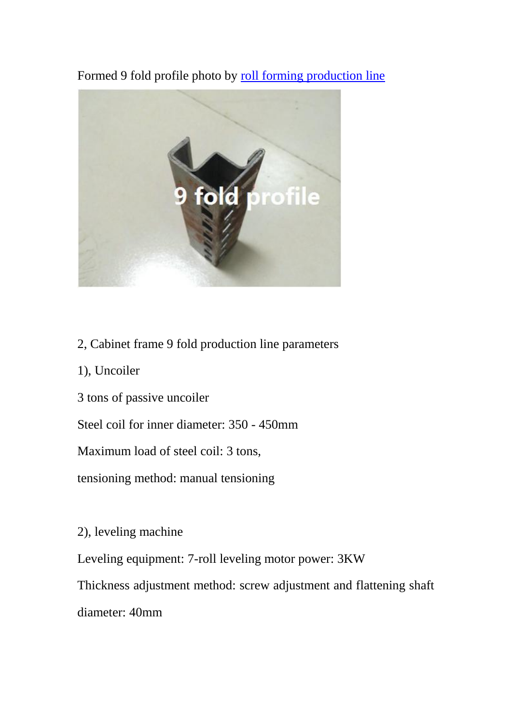Formed 9 fold profile photo by [roll forming production line](https://www.superdamc.com/)



- 2, Cabinet frame 9 fold production line parameters
- 1), Uncoiler
- 3 tons of passive uncoiler
- Steel coil for inner diameter: 350 450mm

Maximum load of steel coil: 3 tons,

tensioning method: manual tensioning

2), leveling machine

Leveling equipment: 7-roll leveling motor power: 3KW

Thickness adjustment method: screw adjustment and flattening shaft

diameter: 40mm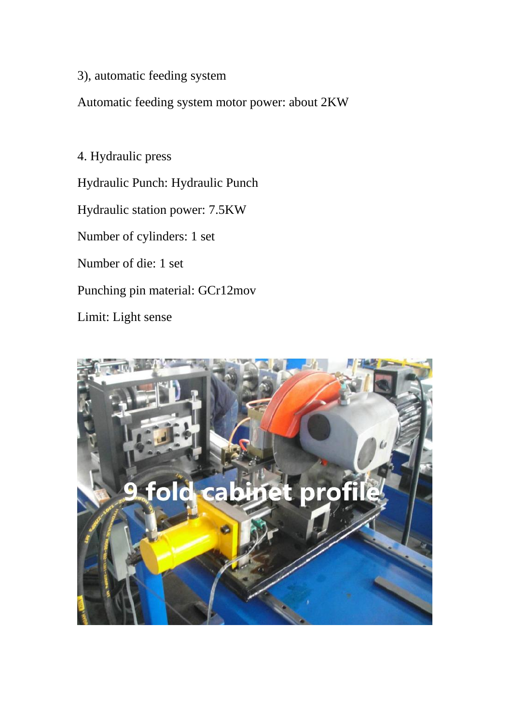3), automatic feeding system

Automatic feeding system motor power: about 2KW

4. Hydraulic press Hydraulic Punch: Hydraulic Punch Hydraulic station power: 7.5KW Number of cylinders: 1 set Number of die: 1 set Punching pin material: GCr12mov Limit: Light sense